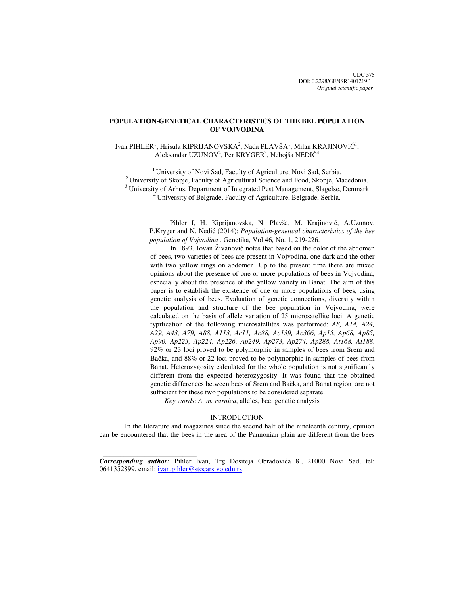## **POPULATION-GENETICAL CHARACTERISTICS OF THE BEE POPULATION OF VOJVODINA**

# Ivan PIHLER<sup>1</sup>, Hrisula KIPRIJANOVSKA<sup>2</sup>, Nada PLAVŠA<sup>1</sup>, Milan KRAJINOVIĆ<sup>1</sup>, Aleksandar UZUNOV<sup>2</sup>, Per KRYGER<sup>3</sup>, Nebojša NEDIĆ<sup>4</sup>

<sup>1</sup> University of Novi Sad, Faculty of Agriculture, Novi Sad, Serbia. <sup>2</sup> University of Skopje, Faculty of Agricultural Science and Food, Skopje, Macedonia. <sup>3</sup> University of Arhus, Department of Integrated Pest Management, Slagelse, Denmark <sup>4</sup> University of Belgrade, Faculty of Agriculture, Belgrade, Serbia.

Pihler I, H. Kiprijanovska, N. Plavša, M. Krajinović, A.Uzunov. P.Kryger and N. Nedić (2014): *Population-genetical characteristics of the bee population of Vojvodina .* Genetika, Vol 46, No. 1, 219-226.

In 1893. Jovan Živanović notes that based on the color of the abdomen of bees, two varieties of bees are present in Vojvodina, one dark and the other with two yellow rings on abdomen. Up to the present time there are mixed opinions about the presence of one or more populations of bees in Vojvodina, especially about the presence of the yellow variety in Banat. The aim of this paper is to establish the existence of one or more populations of bees, using genetic analysis of bees. Evaluation of genetic connections, diversity within the population and structure of the bee population in Vojvodina, were calculated on the basis of allele variation of 25 microsatellite loci. A genetic typification of the following microsatellites was performed: *A8, A14, A24, A29, A43, A79, A88, A113, Ac11, Ac88, Ac139, Ac306, Ap15, Ap68, Ap85, Ap90, Ap223, Ap224, Ap226, Ap249, Ap273, Ap274, Ap288, At168, At188*. 92% or 23 loci proved to be polymorphic in samples of bees from Srem and Bačka, and 88% or 22 loci proved to be polymorphic in samples of bees from Banat. Heterozygosity calculated for the whole population is not significantly different from the expected heterozygosity. It was found that the obtained genetic differences between bees of Srem and Bačka, and Banat region are not sufficient for these two populations to be considered separate.

*Key words*: *A. m. carnica*, alleles, bee, genetic analysis

## INTRODUCTION

In the literature and magazines since the second half of the nineteenth century, opinion can be encountered that the bees in the area of the Pannonian plain are different from the bees

*Corresponding author:* Pihler Ivan, Trg Dositeja Obradovića 8., 21000 Novi Sad, tel: 0641352899, email: ivan.pihler@stocarstvo.edu.rs

 $\frac{1}{2}$  , and the set of the set of the set of the set of the set of the set of the set of the set of the set of the set of the set of the set of the set of the set of the set of the set of the set of the set of the set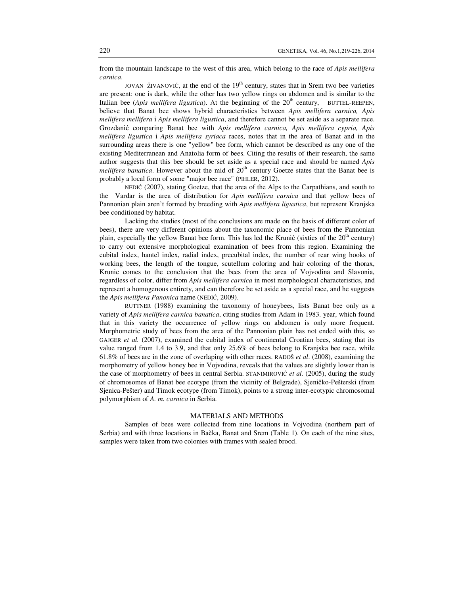from the mountain landscape to the west of this area, which belong to the race of *Apis mellifera carnica*.

JOVAN ŽIVANOVIĆ, at the end of the  $19<sup>th</sup>$  century, states that in Srem two bee varieties are present: one is dark, while the other has two yellow rings on abdomen and is similar to the Italian bee (*Apis mellifera ligustica*). At the beginning of the  $20<sup>th</sup>$  century, BUTTEL-REEPEN, believe that Banat bee shows hybrid characteristics between *Apis mellifera carnica, Apis mellifera mellifera* i *Apis mellifera ligustica*, and therefore cannot be set aside as a separate race. Grozdanić comparing Banat bee with *Apis mellifera carnica, Apis mellifera cypria, Apis mellifera ligustica* i *Apis mellifera syriaca* races, notes that in the area of Banat and in the surrounding areas there is one "yellow" bee form, which cannot be described as any one of the existing Mediterranean and Anatolia form of bees. Citing the results of their research, the same author suggests that this bee should be set aside as a special race and should be named *Apis mellifera banatica*. However about the mid of 20<sup>th</sup> century Goetze states that the Banat bee is probably a local form of some "major bee race" (PIHLER, 2012).

NEDIĆ (2007), stating Goetze, that the area of the Alps to the Carpathians, and south to the Vardar is the area of distribution for *Apis mellifera carnica* and that yellow bees of Pannonian plain aren't formed by breeding with *Apis mellifera ligustica*, but represent Kranjska bee conditioned by habitat.

Lacking the studies (most of the conclusions are made on the basis of different color of bees), there are very different opinions about the taxonomic place of bees from the Pannonian plain, especially the yellow Banat bee form. This has led the Krunić (sixties of the  $20<sup>th</sup>$  century) to carry out extensive morphological examination of bees from this region. Examining the cubital index, hantel index, radial index, precubital index, the number of rear wing hooks of working bees, the length of the tongue, scutellum coloring and hair coloring of the thorax, Krunic comes to the conclusion that the bees from the area of Vojvodina and Slavonia, regardless of color, differ from *Apis mellifera carnica* in most morphological characteristics, and represent a homogenous entirety, and can therefore be set aside as a special race, and he suggests the *Apis mellifera Panonica* name (NEDIĆ, 2009).

RUTTNER (1988) examining the taxonomy of honeybees, lists Banat bee only as a variety of *Apis mellifera carnica banatica*, citing studies from Adam in 1983. year, which found that in this variety the occurrence of yellow rings on abdomen is only more frequent. Morphometric study of bees from the area of the Pannonian plain has not ended with this, so GAJGER *et al.* (2007), examined the cubital index of continental Croatian bees, stating that its value ranged from 1.4 to 3.9, and that only 25.6% of bees belong to Kranjska bee race, while 61.8% of bees are in the zone of overlaping with other races. RADOŠ *et al*. (2008), examining the morphometry of yellow honey bee in Vojvodina, reveals that the values are slightly lower than is the case of morphometry of bees in central Serbia. STANIMIROVIĆ *et al.* (2005), during the study of chromosomes of Banat bee ecotype (from the vicinity of Belgrade), Sjeničko-Pešterski (from Sjenica-Pešter) and Timok ecotype (from Timok), points to a strong inter-ecotypic chromosomal polymorphism of *A. m. carnica* in Serbia.

## MATERIALS AND METHODS

Samples of bees were collected from nine locations in Vojvodina (northern part of Serbia) and with three locations in Bačka, Banat and Srem (Table 1). On each of the nine sites, samples were taken from two colonies with frames with sealed brood.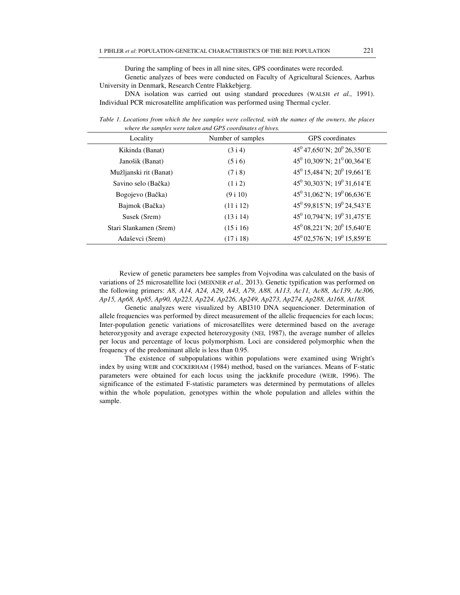During the sampling of bees in all nine sites, GPS coordinates were recorded.

Genetic analyzes of bees were conducted on Faculty of Agricultural Sciences, Aarhus University in Denmark, Research Centre Flakkebjerg.

DNA isolation was carried out using standard procedures (WALSH *et al.,* 1991). Individual PCR microsatellite amplification was performed using Thermal cycler.

*Table 1. Locations from which the bee samples were collected, with the names of the owners, the places where the samples were taken and GPS coordinates of hives.* 

| Locality               | Number of samples | GPS coordinates                                    |  |
|------------------------|-------------------|----------------------------------------------------|--|
| Kikinda (Banat)        | (3 i 4)           | $45^{\circ}$ 47,650'N; 20 <sup>°</sup> 26,350'E    |  |
| Janošik (Banat)        | (5 i 6)           | $45^0$ 10,309'N; $21^0$ 00,364'E                   |  |
| Mužljanski rit (Banat) | (7 i 8)           | 45 <sup>0</sup> 15,484'N; 20 <sup>0</sup> 19,661'E |  |
| Savino selo (Bačka)    | (1 i 2)           | $45^{\circ}$ 30,303'N; 19 <sup>0</sup> 31,614'E    |  |
| Bogojevo (Bačka)       | (9 i 10)          | $45^{\circ}$ 31,062'N; 19 <sup>0</sup> 06,636'E    |  |
| Bajmok (Bačka)         | (11 i 12)         | 45 <sup>0</sup> 59,815'N; 19 <sup>0</sup> 24,543'E |  |
| Susek (Srem)           | (13 i 14)         | $45^{\circ}$ 10,794'N; 19 <sup>°</sup> 31,475'E    |  |
| Stari Slankamen (Srem) | (15 i 16)         | $45^{\circ}$ 08,221'N; 20 <sup>°</sup> 15,640'E    |  |
| Adaševci (Srem)        | (17 i 18)         | $45^0$ 02,576'N; 19 <sup>0</sup> 15,859'E          |  |

Review of genetic parameters bee samples from Vojvodina was calculated on the basis of variations of 25 microsatellite loci (MEIXNER *et al.,* 2013). Genetic typification was performed on the following primers: *A8, A14, A24, A29, A43, A79, A88, A113, Ac11, Ac88, Ac139, Ac306, Ap15, Ap68, Ap85, Ap90, Ap223, Ap224, Ap226, Ap249, Ap273, Ap274, Ap288, At168, At188.*

Genetic analyzes were visualized by ABI310 DNA sequencioner. Determination of allele frequencies was performed by direct measurement of the allelic frequencies for each locus; Inter-population genetic variations of microsatellites were determined based on the average heterozygosity and average expected heterozygosity (NEI, 1987), the average number of alleles per locus and percentage of locus polymorphism. Loci are considered polymorphic when the frequency of the predominant allele is less than 0.95.

The existence of subpopulations within populations were examined using Wright's index by using WEIR and COCKERHAM (1984) method, based on the variances. Means of F-static parameters were obtained for each locus using the jackknife procedure (WEIR, 1996). The significance of the estimated F-statistic parameters was determined by permutations of alleles within the whole population, genotypes within the whole population and alleles within the sample.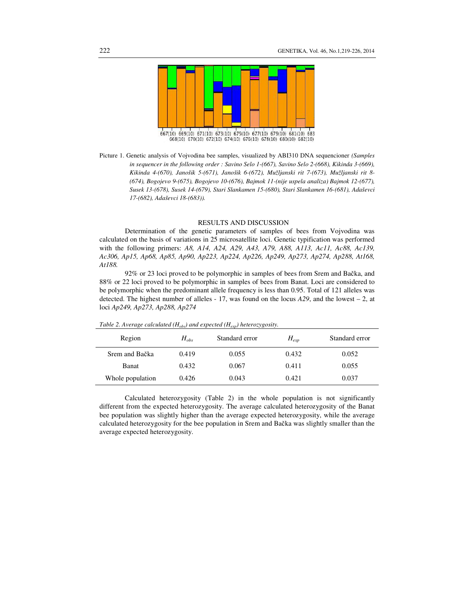

667(10) 669(10) 671(10) 673(10) 675(10) 677(10) 679(10) 681(10) 683 668(10) 670(10) 672(10) 674(10) 676(10) 678(10) 680(10) 682(10)

## RESULTS AND DISCUSSION

Determination of the genetic parameters of samples of bees from Vojvodina was calculated on the basis of variations in 25 microsatellite loci. Genetic typification was performed with the following primers: *A8, A14, A24, A29, A43, A79, A88, A113, Ac11, Ac88, Ac139, Ac306, Ap15, Ap68, Ap85, Ap90, Ap223, Ap224, Ap226, Ap249, Ap273, Ap274, Ap288, At168, At188.* 

92% or 23 loci proved to be polymorphic in samples of bees from Srem and Bačka, and 88% or 22 loci proved to be polymorphic in samples of bees from Banat. Loci are considered to be polymorphic when the predominant allele frequency is less than 0.95. Total of 121 alleles was detected. The highest number of alleles - 17, was found on the locus *A29*, and the lowest – 2, at loci *Ap249, Ap273, Ap288, Ap274* 

| Region           | $H_{obs}$ | Standard error | $H_{exp}$ | Standard error |
|------------------|-----------|----------------|-----------|----------------|
| Srem and Bačka   | 0.419     | 0.055          | 0.432     | 0.052          |
| <b>Banat</b>     | 0.432     | 0.067          | 0.411     | 0.055          |
| Whole population | 0.426     | 0.043          | 0.421     | 0.037          |

*Table 2. Average calculated (Hobs) and expected (Hexp) heterozygosity.* 

Calculated heterozygosity (Table 2) in the whole population is not significantly different from the expected heterozygosity. The average calculated heterozygosity of the Banat bee population was slightly higher than the average expected heterozygosity, while the average calculated heterozygosity for the bee population in Srem and Bačka was slightly smaller than the average expected heterozygosity.

Picture 1. Genetic analysis of Vojvodina bee samples, visualized by ABI310 DNA sequencioner *(Samples in sequencer in the following order : Savino Selo 1-(667), Savino Selo 2-(668), Kikinda 3-(669), Kikinda 4-(670), Janošik 5-(671), Janošik 6-(672), Mužljanski rit 7-(673), Mužljanski rit 8- (674), Bogojevo 9-(675), Bogojevo 10-(676), Bajmok 11-(nije uspela analiza) Bajmok 12-(677), Susek 13-(678), Susek 14-(679), Stari Slankamen 15-(680), Stari Slankamen 16-(681), Adaševci 17-(682), Adaševci 18-(683)).*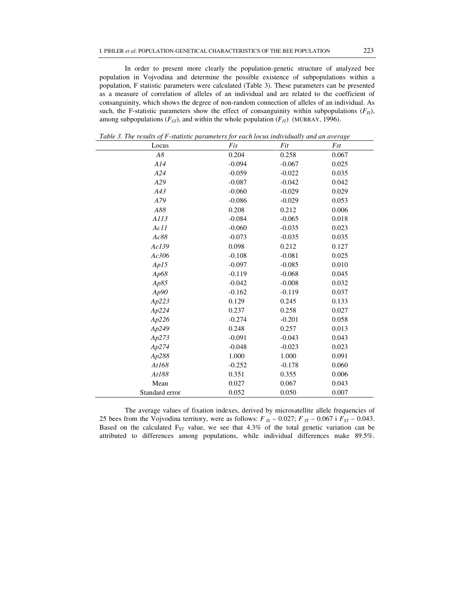In order to present more clearly the population-genetic structure of analyzed bee population in Vojvodina and determine the possible existence of subpopulations within a population, F statistic parameters were calculated (Table 3). These parameters can be presented as a measure of correlation of alleles of an individual and are related to the coefficient of consanguinity, which shows the degree of non-random connection of alleles of an individual. As such, the F-statistic parameters show the effect of consanguinity within subpopulations  $(F_{IS})$ , among subpopulations  $(F_{ST})$ , and within the whole population  $(F_{IT})$  (MURRAY, 1996).

| A8<br>0.204<br>0.258<br>0.067<br>A14<br>$-0.094$<br>$-0.067$<br>0.025<br>A24<br>$-0.059$<br>$-0.022$<br>0.035<br>A29<br>0.042<br>$-0.087$<br>$-0.042$<br>A43<br>$-0.060$<br>$-0.029$<br>0.029<br>A79<br>$-0.086$<br>$-0.029$<br>0.053<br>A88<br>0.208<br>0.212<br>0.006<br>A113<br>$-0.084$<br>$-0.065$<br>0.018<br>$-0.060$<br>Ac11<br>$-0.035$<br>0.023<br>Ac88<br>$-0.073$<br>$-0.035$<br>0.035<br>Ac139<br>0.098<br>0.212<br>0.127<br>Ac306<br>$-0.108$<br>0.025<br>$-0.081$<br>Ap15<br>$-0.097$<br>$-0.085$<br>0.010<br>Ap68<br>$-0.119$<br>$-0.068$<br>0.045<br>Ap85<br>$-0.008$<br>0.032<br>$-0.042$<br>Ap90<br>$-0.162$<br>$-0.119$<br>0.037<br>Ap223<br>0.129<br>0.245<br>0.133<br>Ap224<br>0.237<br>0.258<br>0.027<br>Ap226<br>$-0.274$<br>$-0.201$<br>0.058<br>Ap249<br>0.013<br>0.248<br>0.257<br>0.043<br>Ap273<br>$-0.091$<br>$-0.043$<br>Ap274<br>$-0.048$<br>$-0.023$<br>0.023<br>Ap288<br>1.000<br>0.091<br>1.000<br>0.060<br>At168<br>$-0.252$<br>$-0.178$<br>At188<br>0.351<br>0.006<br>0.355<br>Mean<br>0.027<br>0.067<br>0.043<br>Standard error<br>0.052<br>0.050<br>0.007 | Locus | Fis | Fit | Fst |  |
|--------------------------------------------------------------------------------------------------------------------------------------------------------------------------------------------------------------------------------------------------------------------------------------------------------------------------------------------------------------------------------------------------------------------------------------------------------------------------------------------------------------------------------------------------------------------------------------------------------------------------------------------------------------------------------------------------------------------------------------------------------------------------------------------------------------------------------------------------------------------------------------------------------------------------------------------------------------------------------------------------------------------------------------------------------------------------------------------------|-------|-----|-----|-----|--|
|                                                                                                                                                                                                                                                                                                                                                                                                                                                                                                                                                                                                                                                                                                                                                                                                                                                                                                                                                                                                                                                                                                  |       |     |     |     |  |
|                                                                                                                                                                                                                                                                                                                                                                                                                                                                                                                                                                                                                                                                                                                                                                                                                                                                                                                                                                                                                                                                                                  |       |     |     |     |  |
|                                                                                                                                                                                                                                                                                                                                                                                                                                                                                                                                                                                                                                                                                                                                                                                                                                                                                                                                                                                                                                                                                                  |       |     |     |     |  |
|                                                                                                                                                                                                                                                                                                                                                                                                                                                                                                                                                                                                                                                                                                                                                                                                                                                                                                                                                                                                                                                                                                  |       |     |     |     |  |
|                                                                                                                                                                                                                                                                                                                                                                                                                                                                                                                                                                                                                                                                                                                                                                                                                                                                                                                                                                                                                                                                                                  |       |     |     |     |  |
|                                                                                                                                                                                                                                                                                                                                                                                                                                                                                                                                                                                                                                                                                                                                                                                                                                                                                                                                                                                                                                                                                                  |       |     |     |     |  |
|                                                                                                                                                                                                                                                                                                                                                                                                                                                                                                                                                                                                                                                                                                                                                                                                                                                                                                                                                                                                                                                                                                  |       |     |     |     |  |
|                                                                                                                                                                                                                                                                                                                                                                                                                                                                                                                                                                                                                                                                                                                                                                                                                                                                                                                                                                                                                                                                                                  |       |     |     |     |  |
|                                                                                                                                                                                                                                                                                                                                                                                                                                                                                                                                                                                                                                                                                                                                                                                                                                                                                                                                                                                                                                                                                                  |       |     |     |     |  |
|                                                                                                                                                                                                                                                                                                                                                                                                                                                                                                                                                                                                                                                                                                                                                                                                                                                                                                                                                                                                                                                                                                  |       |     |     |     |  |
|                                                                                                                                                                                                                                                                                                                                                                                                                                                                                                                                                                                                                                                                                                                                                                                                                                                                                                                                                                                                                                                                                                  |       |     |     |     |  |
|                                                                                                                                                                                                                                                                                                                                                                                                                                                                                                                                                                                                                                                                                                                                                                                                                                                                                                                                                                                                                                                                                                  |       |     |     |     |  |
|                                                                                                                                                                                                                                                                                                                                                                                                                                                                                                                                                                                                                                                                                                                                                                                                                                                                                                                                                                                                                                                                                                  |       |     |     |     |  |
|                                                                                                                                                                                                                                                                                                                                                                                                                                                                                                                                                                                                                                                                                                                                                                                                                                                                                                                                                                                                                                                                                                  |       |     |     |     |  |
|                                                                                                                                                                                                                                                                                                                                                                                                                                                                                                                                                                                                                                                                                                                                                                                                                                                                                                                                                                                                                                                                                                  |       |     |     |     |  |
|                                                                                                                                                                                                                                                                                                                                                                                                                                                                                                                                                                                                                                                                                                                                                                                                                                                                                                                                                                                                                                                                                                  |       |     |     |     |  |
|                                                                                                                                                                                                                                                                                                                                                                                                                                                                                                                                                                                                                                                                                                                                                                                                                                                                                                                                                                                                                                                                                                  |       |     |     |     |  |
|                                                                                                                                                                                                                                                                                                                                                                                                                                                                                                                                                                                                                                                                                                                                                                                                                                                                                                                                                                                                                                                                                                  |       |     |     |     |  |
|                                                                                                                                                                                                                                                                                                                                                                                                                                                                                                                                                                                                                                                                                                                                                                                                                                                                                                                                                                                                                                                                                                  |       |     |     |     |  |
|                                                                                                                                                                                                                                                                                                                                                                                                                                                                                                                                                                                                                                                                                                                                                                                                                                                                                                                                                                                                                                                                                                  |       |     |     |     |  |
|                                                                                                                                                                                                                                                                                                                                                                                                                                                                                                                                                                                                                                                                                                                                                                                                                                                                                                                                                                                                                                                                                                  |       |     |     |     |  |
|                                                                                                                                                                                                                                                                                                                                                                                                                                                                                                                                                                                                                                                                                                                                                                                                                                                                                                                                                                                                                                                                                                  |       |     |     |     |  |
|                                                                                                                                                                                                                                                                                                                                                                                                                                                                                                                                                                                                                                                                                                                                                                                                                                                                                                                                                                                                                                                                                                  |       |     |     |     |  |
|                                                                                                                                                                                                                                                                                                                                                                                                                                                                                                                                                                                                                                                                                                                                                                                                                                                                                                                                                                                                                                                                                                  |       |     |     |     |  |
|                                                                                                                                                                                                                                                                                                                                                                                                                                                                                                                                                                                                                                                                                                                                                                                                                                                                                                                                                                                                                                                                                                  |       |     |     |     |  |
|                                                                                                                                                                                                                                                                                                                                                                                                                                                                                                                                                                                                                                                                                                                                                                                                                                                                                                                                                                                                                                                                                                  |       |     |     |     |  |
|                                                                                                                                                                                                                                                                                                                                                                                                                                                                                                                                                                                                                                                                                                                                                                                                                                                                                                                                                                                                                                                                                                  |       |     |     |     |  |

*Table 3. The results of F-statistic parameters for each locus individually and an average* 

The average values of fixation indexes, derived by microsatellite allele frequencies of 25 bees from the Vojvodina territory, were as follows:  $F_{IS}$  – 0.027;  $F_{IT}$  – 0.067 i  $F_{ST}$  – 0.043. Based on the calculated  $F_{ST}$  value, we see that 4.3% of the total genetic variation can be attributed to differences among populations, while individual differences make 89.5%.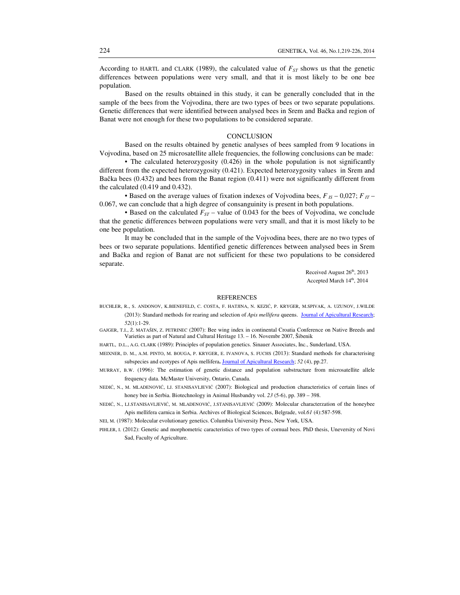According to HARTL and CLARK (1989), the calculated value of *FST* shows us that the genetic differences between populations were very small, and that it is most likely to be one bee population.

Based on the results obtained in this study, it can be generally concluded that in the sample of the bees from the Vojvodina, there are two types of bees or two separate populations. Genetic differences that were identified between analysed bees in Srem and Bačka and region of Banat were not enough for these two populations to be considered separate.

### **CONCLUSION**

Based on the results obtained by genetic analyses of bees sampled from 9 locations in Vojvodina, based on 25 microsatellite allele frequencies, the following conclusions can be made:

• The calculated heterozygosity (0.426) in the whole population is not significantly different from the expected heterozygosity (0.421). Expected heterozygosity values in Srem and Bačka bees (0.432) and bees from the Banat region (0.411) were not significantly different from the calculated (0.419 and 0.432).

• Based on the average values of fixation indexes of Vojvodina bees,  $F_{IS}$  – 0,027;  $F_{IT}$  – 0.067, we can conclude that a high degree of consanguinity is present in both populations.

• Based on the calculated  $F_{ST}$  – value of 0.043 for the bees of Vojvodina, we conclude that the genetic differences between populations were very small, and that it is most likely to be one bee population.

It may be concluded that in the sample of the Vojvodina bees, there are no two types of bees or two separate populations. Identified genetic differences between analysed bees in Srem and Bačka and region of Banat are not sufficient for these two populations to be considered separate.

> Received August 26<sup>th</sup>, 2013 Accepted March 14<sup>th</sup>, 2014

### **REFERENCES**

- BUCHLER, R., S. ANDONOV, K.BIENEFELD, C. COSTA, F. HATJINA, N. KEZIĆ, P. KRYGER, M.SPIVAK, A. UZUNOV, J.WILDE (2013): Standard methods for rearing and selection of *Apis mellifera* queens. Journal of Apicultural Research; *52*(1):1-29.
- GAJGER, T.I., Ž. MATAŠIN, Z. PETRINEC (2007): Bee wing index in continental Croatia Conference on Native Breeds and Varieties as part of Natural and Cultural Heritage 13. – 16. Novembr 2007, Šibenik
- HARTL, D.L., A.G. CLARK (1989): Principles of population genetics. Sinauer Associates, Inc., Sunderland, USA.
- MEIXNER, D. M., A.M. PINTO, M. BOUGA, P. KRYGER, E. IVANOVA, S. FUCHS (2013): Standard methods for characterising subspecies and ecotypes of Apis mellifera**.** Journal of Apicultural Research; *52* (4), pp.27.
- MURRAY, B.W. (1996): The estimation of genetic distance and population substructure from microsatellite allele frequency data. McMaster University, Ontario, Canada.
- NEDIĆ, N., M. MLADENOVIĆ, LJ. STANISAVLJEVIĆ (2007): Biological and production characteristics of certain lines of honey bee in Serbia. Biotechnology in Animal Husbandry vol. *23* (5-6), pp. 389 – 398.
- NEDIĆ, N., LJ.STANISAVLJEVIĆ, M. MLADENOVIĆ, J.STANISAVLJEVIĆ (2009): Molecular characterzation of the honeybee Apis mellifera carnica in Serbia. Archives of Biological Sciences, Belgrade, vol.*61* (4):587-598.
- NEI, M. (1987): Molecular evolutionary genetics. Columbia University Press, New York, USA.
- PIHLER, I. (2012): Genetic and morphometric caracteristics of two types of cornual bees. PhD thesis, Uneversity of Novi Sad, Faculty of Agriculture.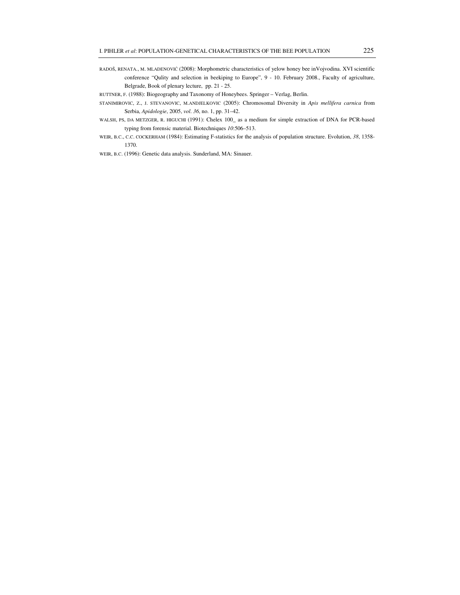RADOŠ, RENATA., M. MLADENOVIĆ (2008): Morphometric characteristics of yelow honey bee inVojvodina. XVI scientific conference "Qulity and selection in beekiping to Europe", 9 - 10. February 2008., Faculty of agriculture, Belgrade, Book of plenary lecture, pp. 21 - 25.

RUTTNER, F. (1988): Biogeography and Taxonomy of Honeybees. Springer – Verlag, Berlin.

STANIMIROVIC, Z., J. STEVANOVIC, M.ANDJELKOVIC (2005): Chromosomal Diversity in *Apis mellifera carnica* from Serbia, *Apidologie*, 2005, *vol*. *36*, no. 1, pp. 31–42.

WALSH, PS, DA METZGER, R. HIGUCHI (1991): Chelex 100\_ as a medium for simple extraction of DNA for PCR-based typing from forensic material. Biotechniques *10*:506–513.

WEIR, B.C., C.C. COCKERHAM (1984): Estimating F-statistics for the analysis of population structure. Evolution, *38*, 1358- 1370.

WEIR, B.C. (1996): Genetic data analysis. Sunderland, MA: Sinauer.